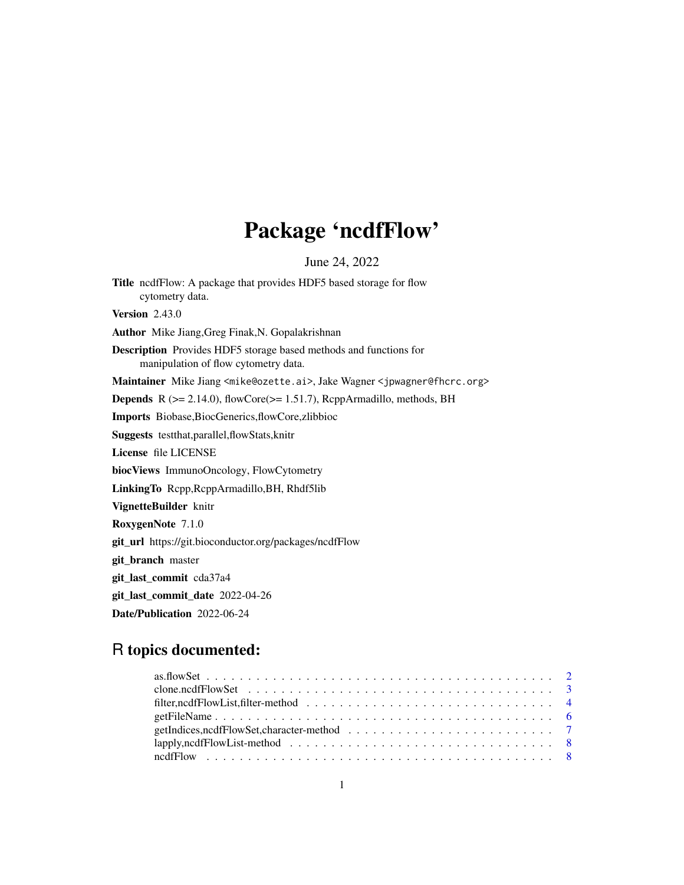# Package 'ncdfFlow'

June 24, 2022

<span id="page-0-0"></span>Title ncdfFlow: A package that provides HDF5 based storage for flow cytometry data. **Version** 2.43.0 Author Mike Jiang,Greg Finak,N. Gopalakrishnan Description Provides HDF5 storage based methods and functions for manipulation of flow cytometry data. Maintainer Mike Jiang <mike@ozette.ai>, Jake Wagner <jpwagner@fhcrc.org> Depends R (>= 2.14.0), flowCore(>= 1.51.7), RcppArmadillo, methods, BH Imports Biobase,BiocGenerics,flowCore,zlibbioc Suggests testthat,parallel,flowStats,knitr License file LICENSE biocViews ImmunoOncology, FlowCytometry LinkingTo Rcpp,RcppArmadillo,BH, Rhdf5lib VignetteBuilder knitr RoxygenNote 7.1.0 git\_url https://git.bioconductor.org/packages/ncdfFlow git\_branch master git\_last\_commit cda37a4 git\_last\_commit\_date 2022-04-26

Date/Publication 2022-06-24

# R topics documented: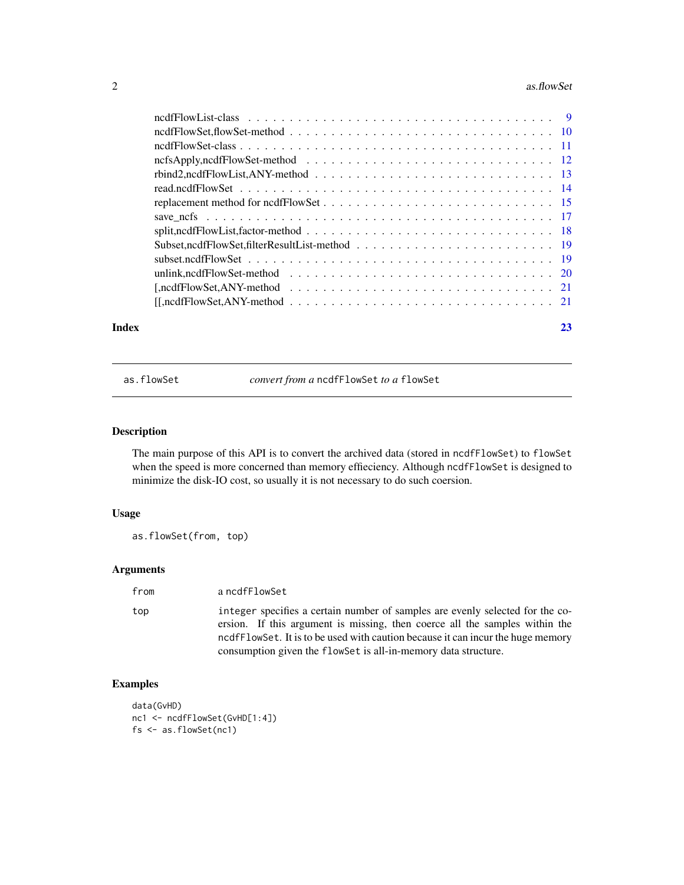#### <span id="page-1-0"></span> $2 \cos \theta$  as. flowSet

| $rbind2, ncdfFlowList, ANY-method \dots \dots \dots \dots \dots \dots \dots \dots \dots \dots \dots \dots \dots \dots \dots$<br>unlink, ncdfFlowSet-method $\ldots \ldots \ldots \ldots \ldots \ldots \ldots \ldots \ldots \ldots \ldots \ldots 20$ |  |  |
|-----------------------------------------------------------------------------------------------------------------------------------------------------------------------------------------------------------------------------------------------------|--|--|
|                                                                                                                                                                                                                                                     |  |  |
|                                                                                                                                                                                                                                                     |  |  |
|                                                                                                                                                                                                                                                     |  |  |
|                                                                                                                                                                                                                                                     |  |  |
|                                                                                                                                                                                                                                                     |  |  |
|                                                                                                                                                                                                                                                     |  |  |

as.flowSet *convert from a* ncdfFlowSet *to a* flowSet

# Description

The main purpose of this API is to convert the archived data (stored in ncdfFlowSet) to flowSet when the speed is more concerned than memory effieciency. Although ncdfFlowSet is designed to minimize the disk-IO cost, so usually it is not necessary to do such coersion.

#### Usage

as.flowSet(from, top)

#### Arguments

top integer specifies a certain number of samples are evenly selected for the coersion. If this argument is missing, then coerce all the samples within the ncdfFlowSet. It is to be used with caution because it can incur the huge memory consumption given the flowSet is all-in-memory data structure.

# Examples

data(GvHD) nc1 <- ncdfFlowSet(GvHD[1:4]) fs <- as.flowSet(nc1)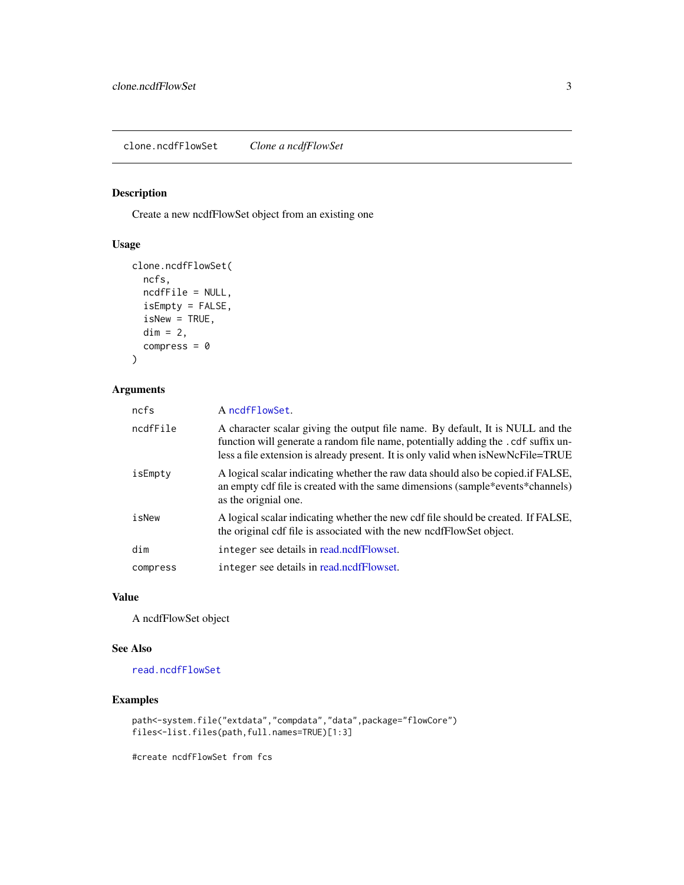# <span id="page-2-1"></span><span id="page-2-0"></span>Description

Create a new ncdfFlowSet object from an existing one

# Usage

```
clone.ncdfFlowSet(
 ncfs,
 ncdfFile = NULL,
  isEmpty = FALSE,
  isNew = TRUE,
 dim = 2,compress = \theta)
```
# Arguments

| ncfs     | A ncdfFlowSet.                                                                                                                                                                                                                                             |
|----------|------------------------------------------------------------------------------------------------------------------------------------------------------------------------------------------------------------------------------------------------------------|
| ncdfFile | A character scalar giving the output file name. By default, It is NULL and the<br>function will generate a random file name, potentially adding the . cdf suffix un-<br>less a file extension is already present. It is only valid when is New NcFile=TRUE |
| isEmpty  | A logical scalar indicating whether the raw data should also be copied if FALSE.<br>an empty cdf file is created with the same dimensions (sample*events*channels)<br>as the orignial one.                                                                 |
| isNew    | A logical scalar indicating whether the new cdf file should be created. If FALSE,<br>the original cdf file is associated with the new nedfFlowSet object.                                                                                                  |
| dim      | integer see details in read.ncdfFlowset.                                                                                                                                                                                                                   |
| compress | integer see details in read.ncdfFlowset.                                                                                                                                                                                                                   |

# Value

A ncdfFlowSet object

#### See Also

[read.ncdfFlowSet](#page-13-2)

# Examples

```
path<-system.file("extdata","compdata","data",package="flowCore")
files<-list.files(path,full.names=TRUE)[1:3]
```
#create ncdfFlowSet from fcs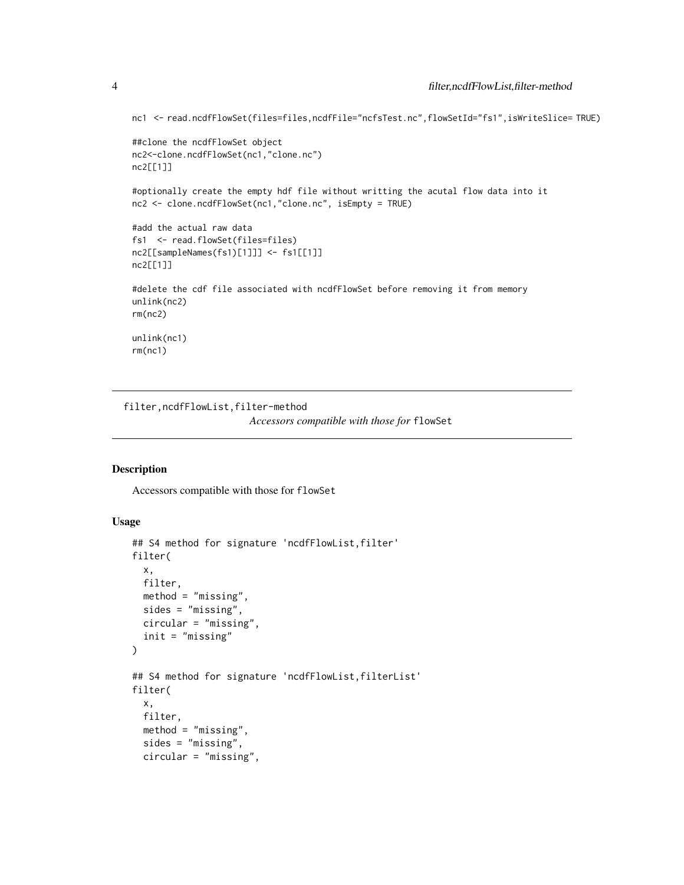nc1 <- read.ncdfFlowSet(files=files,ncdfFile="ncfsTest.nc",flowSetId="fs1",isWriteSlice= TRUE)

```
##clone the ncdfFlowSet object
nc2<-clone.ncdfFlowSet(nc1,"clone.nc")
nc2[[1]]
```
#optionally create the empty hdf file without writting the acutal flow data into it nc2 <- clone.ncdfFlowSet(nc1,"clone.nc", isEmpty = TRUE)

```
#add the actual raw data
fs1 <- read.flowSet(files=files)
nc2[[sampleNames(fs1)[1]]] <- fs1[[1]]
nc2[[1]]
```

```
#delete the cdf file associated with ncdfFlowSet before removing it from memory
unlink(nc2)
rm(nc2)
unlink(nc1)
```

```
rm(nc1)
```
filter,ncdfFlowList,filter-method *Accessors compatible with those for* flowSet

#### Description

Accessors compatible with those for flowSet

#### Usage

```
## S4 method for signature 'ncdfFlowList, filter'
filter(
 x,
 filter,
 method = "missing",
 sides = "missing",
 circular = "missing",
  init = "missing"
)
## S4 method for signature 'ncdfFlowList,filterList'
filter(
 x,
 filter,
 method = "missing",
  sides = "missing",
 circular = "missing",
```
<span id="page-3-0"></span>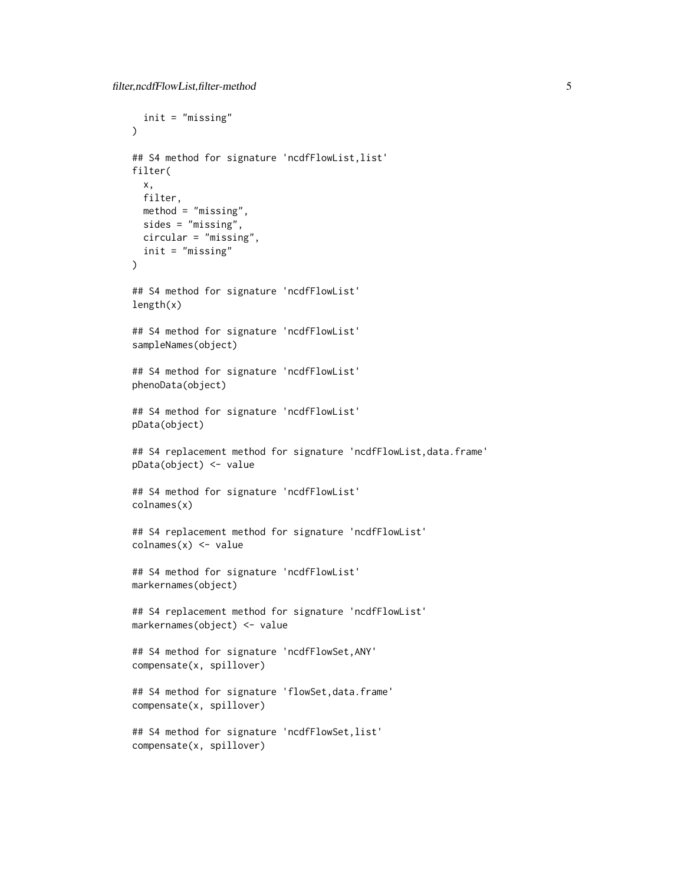```
init = "missing"
\lambda## S4 method for signature 'ncdfFlowList, list'
filter(
 x,
 filter,
 method = "missing",
 sides = "missing",
 circular = "missing",
 init = "missing"
)
## S4 method for signature 'ncdfFlowList'
length(x)
## S4 method for signature 'ncdfFlowList'
sampleNames(object)
## S4 method for signature 'ncdfFlowList'
phenoData(object)
## S4 method for signature 'ncdfFlowList'
pData(object)
## S4 replacement method for signature 'ncdfFlowList,data.frame'
pData(object) <- value
## S4 method for signature 'ncdfFlowList'
colnames(x)
## S4 replacement method for signature 'ncdfFlowList'
colnames(x) <- value
## S4 method for signature 'ncdfFlowList'
markernames(object)
## S4 replacement method for signature 'ncdfFlowList'
markernames(object) <- value
## S4 method for signature 'ncdfFlowSet,ANY'
compensate(x, spillover)
## S4 method for signature 'flowSet, data.frame'
compensate(x, spillover)
## S4 method for signature 'ncdfFlowSet,list'
compensate(x, spillover)
```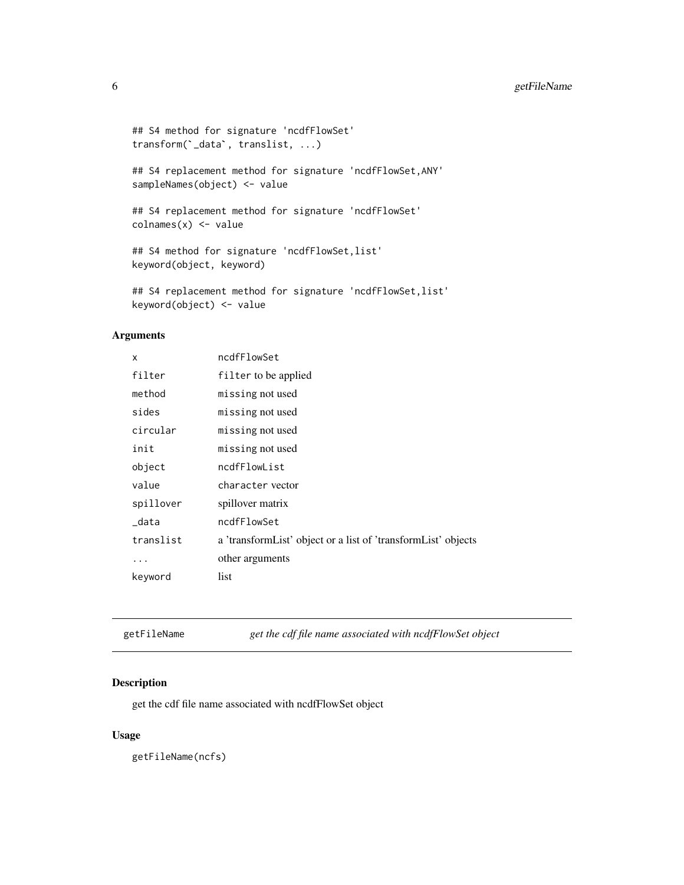# <span id="page-5-0"></span>6 getFileName

```
## S4 method for signature 'ncdfFlowSet'
%<br>## S4 method for signature 'ncdfFl<br>transform(`_data`, translist, ...)
```
## S4 replacement method for signature 'ncdfFlowSet,ANY' sampleNames(object) <- value

## S4 replacement method for signature 'ncdfFlowSet'  $\text{columns}(x) \leq \text{value}$ 

## S4 method for signature 'ncdfFlowSet,list' keyword(object, keyword)

## S4 replacement method for signature 'ncdfFlowSet, list' keyword(object) <- value

#### Arguments

| X         | ncdfFlowSet                                                   |
|-----------|---------------------------------------------------------------|
| filter    | filter to be applied                                          |
| method    | missing not used                                              |
| sides     | missing not used                                              |
| circular  | missing not used                                              |
| init      | missing not used                                              |
| object    | ncdfFlowList                                                  |
| value     | character vector                                              |
| spillover | spillover matrix                                              |
| data      | ncdfFlowSet                                                   |
| translist | a 'transformList' object or a list of 'transformList' objects |
| .         | other arguments                                               |
| keyword   | list                                                          |

getFileName *get the cdf file name associated with ncdfFlowSet object*

# Description

get the cdf file name associated with ncdfFlowSet object

# Usage

getFileName(ncfs)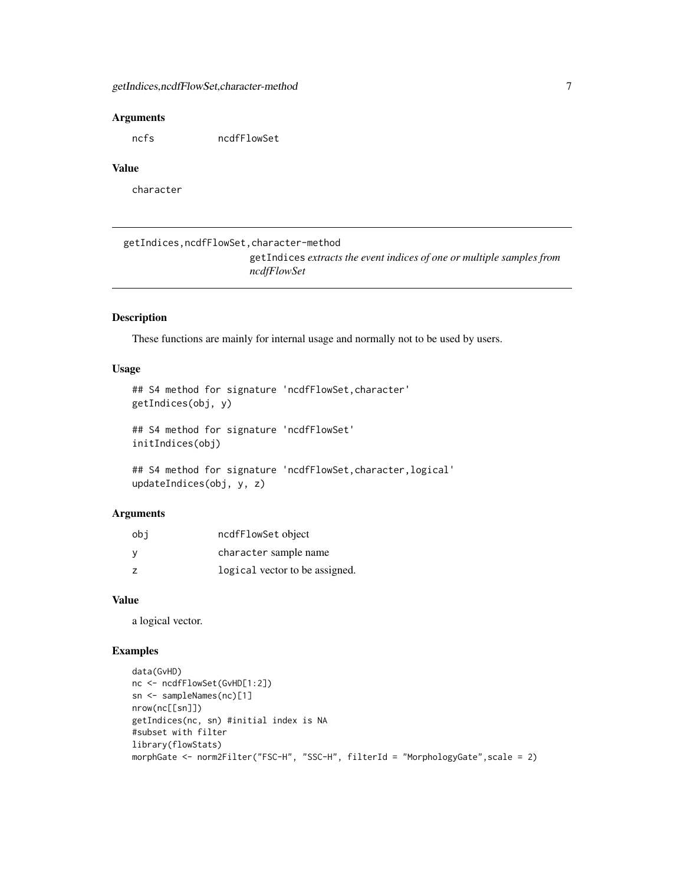#### <span id="page-6-0"></span>**Arguments**

ncfs ncdfFlowSet

#### Value

character

getIndices,ncdfFlowSet,character-method getIndices *extracts the event indices of one or multiple samples from ncdfFlowSet*

#### Description

These functions are mainly for internal usage and normally not to be used by users.

# Usage

```
## S4 method for signature 'ncdfFlowSet,character'
getIndices(obj, y)
## S4 method for signature 'ncdfFlowSet'
initIndices(obj)
```

```
## S4 method for signature 'ncdfFlowSet,character,logical'
updateIndices(obj, y, z)
```
# Arguments

| obi | ncdfFlowSet object             |
|-----|--------------------------------|
| ٧   | character sample name          |
| z   | logical vector to be assigned. |

#### Value

a logical vector.

```
data(GvHD)
nc <- ncdfFlowSet(GvHD[1:2])
sn <- sampleNames(nc)[1]
nrow(nc[[sn]])
getIndices(nc, sn) #initial index is NA
#subset with filter
library(flowStats)
morphGate <- norm2Filter("FSC-H", "SSC-H", filterId = "MorphologyGate",scale = 2)
```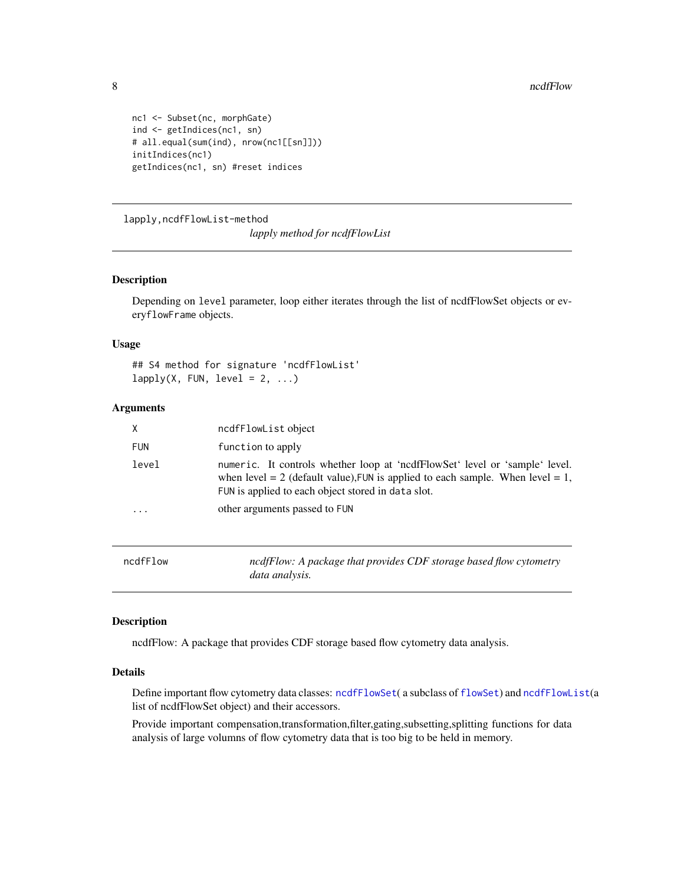```
nc1 <- Subset(nc, morphGate)
ind <- getIndices(nc1, sn)
# all.equal(sum(ind), nrow(nc1[[sn]]))
initIndices(nc1)
getIndices(nc1, sn) #reset indices
```
lapply,ncdfFlowList-method

*lapply method for ncdfFlowList*

#### Description

Depending on level parameter, loop either iterates through the list of ncdfFlowSet objects or everyflowFrame objects.

#### Usage

## S4 method for signature 'ncdfFlowList'  $lapply(X, FUN, level = 2, ...)$ 

#### Arguments

| X          | ncdfFlowList object                                                                                                                                                                                                   |
|------------|-----------------------------------------------------------------------------------------------------------------------------------------------------------------------------------------------------------------------|
| <b>FUN</b> | function to apply                                                                                                                                                                                                     |
| level      | numeric. It controls whether loop at 'nedfrollowSet' level or 'sample' level.<br>when level = 2 (default value), FUN is applied to each sample. When level = 1,<br>FUN is applied to each object stored in data slot. |
| .          | other arguments passed to FUN                                                                                                                                                                                         |
|            |                                                                                                                                                                                                                       |

ncdfFlow *ncdfFlow: A package that provides CDF storage based flow cytometry data analysis.*

# Description

ncdfFlow: A package that provides CDF storage based flow cytometry data analysis.

# Details

Define important flow cytometry data classes: [ncdfFlowSet](#page-9-1)(a subclass of [flowSet](#page-0-0)) and [ncdfFlowList](#page-8-1)(a list of ncdfFlowSet object) and their accessors.

Provide important compensation,transformation,filter,gating,subsetting,splitting functions for data analysis of large volumns of flow cytometry data that is too big to be held in memory.

<span id="page-7-0"></span>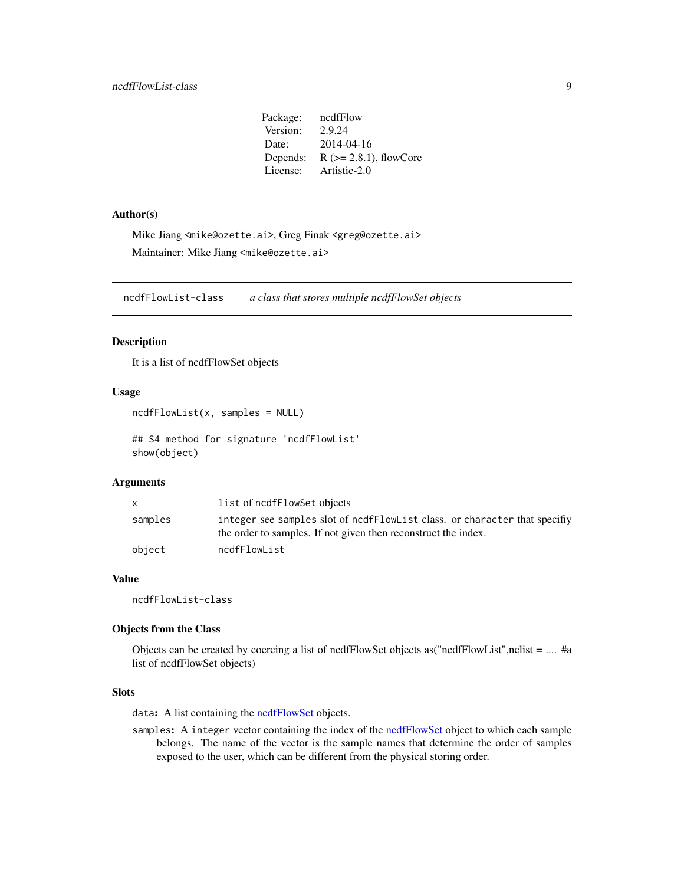# <span id="page-8-0"></span>ncdfFlowList-class 9

Package: ncdfFlow Version: 2.9.24 Date: 2014-04-16 Depends:  $R$  ( $>= 2.8.1$ ), flowCore License: Artistic-2.0

#### Author(s)

Mike Jiang <mike@ozette.ai>, Greg Finak <greg@ozette.ai> Maintainer: Mike Jiang <mike@ozette.ai>

ncdfFlowList-class *a class that stores multiple ncdfFlowSet objects*

# <span id="page-8-1"></span>Description

It is a list of ncdfFlowSet objects

#### Usage

```
ncdfFlowList(x, samples = NULL)
```
## S4 method for signature 'ncdfFlowList' show(object)

# Arguments

|         | list of ncdfFlowSet objects                                                                                                                   |
|---------|-----------------------------------------------------------------------------------------------------------------------------------------------|
| samples | integer see samples slot of noder FlowList class, or character that specify<br>the order to samples. If not given then reconstruct the index. |
| object  | ncdfFlowList                                                                                                                                  |

# Value

ncdfFlowList-class

# Objects from the Class

Objects can be created by coercing a list of ncdfFlowSet objects as("ncdfFlowList",nclist = .... #a list of ncdfFlowSet objects)

### Slots

data: A list containing the [ncdfFlowSet](#page-9-1) objects.

samples: A integer vector containing the index of the [ncdfFlowSet](#page-9-1) object to which each sample belongs. The name of the vector is the sample names that determine the order of samples exposed to the user, which can be different from the physical storing order.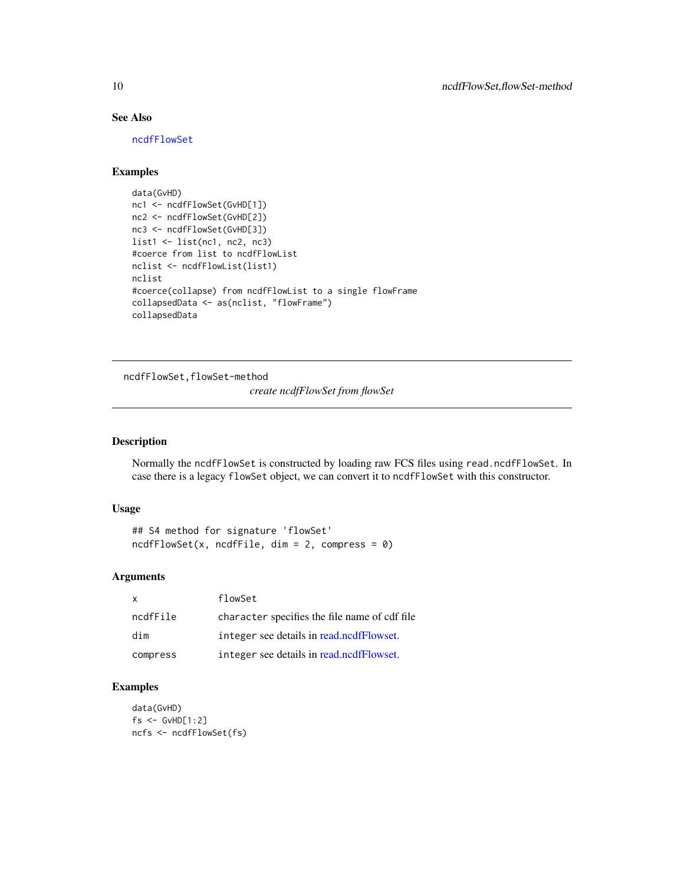# See Also

[ncdfFlowSet](#page-9-1)

# Examples

```
data(GvHD)
nc1 <- ncdfFlowSet(GvHD[1])
nc2 <- ncdfFlowSet(GvHD[2])
nc3 <- ncdfFlowSet(GvHD[3])
list1 <- list(nc1, nc2, nc3)
#coerce from list to ncdfFlowList
nclist <- ncdfFlowList(list1)
nclist
#coerce(collapse) from ncdfFlowList to a single flowFrame
collapsedData <- as(nclist, "flowFrame")
collapsedData
```
ncdfFlowSet,flowSet-method

*create ncdfFlowSet from flowSet*

# <span id="page-9-1"></span>Description

Normally the ncdfFlowSet is constructed by loading raw FCS files using read.ncdfFlowSet. In case there is a legacy flowSet object, we can convert it to ncdfFlowSet with this constructor.

#### Usage

```
## S4 method for signature 'flowSet'
ncdfFlowSet(x, ncdfFile, dim = 2, compress = 0)
```
#### Arguments

| x        | flowSet                                       |
|----------|-----------------------------------------------|
| ncdfFile | character specifies the file name of cdf file |
| dim      | integer see details in read.ncdfFlowset.      |
| compress | integer see details in read.ncdfFlowset.      |

```
data(GvHD)
fs <- GvHD[1:2]
ncfs <- ncdfFlowSet(fs)
```
<span id="page-9-0"></span>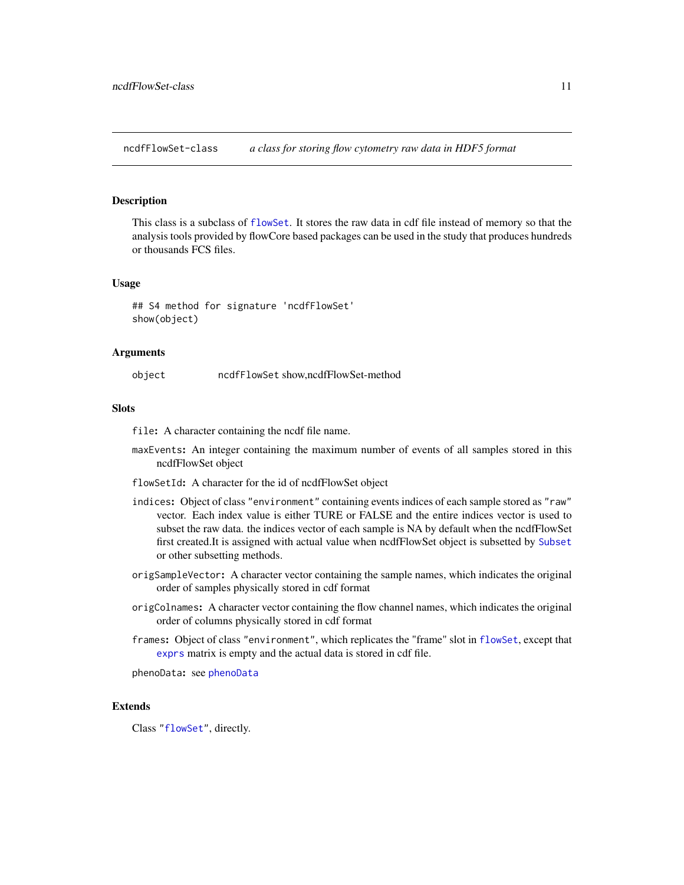<span id="page-10-1"></span><span id="page-10-0"></span>ncdfFlowSet-class *a class for storing flow cytometry raw data in HDF5 format*

#### Description

This class is a subclass of [flowSet](#page-0-0). It stores the raw data in cdf file instead of memory so that the analysis tools provided by flowCore based packages can be used in the study that produces hundreds or thousands FCS files.

#### Usage

## S4 method for signature 'ncdfFlowSet' show(object)

#### **Arguments**

object ncdfFlowSet show,ncdfFlowSet-method

### **Slots**

file: A character containing the ncdf file name.

- maxEvents: An integer containing the maximum number of events of all samples stored in this ncdfFlowSet object
- flowSetId: A character for the id of ncdfFlowSet object
- indices: Object of class "environment" containing events indices of each sample stored as "raw" vector. Each index value is either TURE or FALSE and the entire indices vector is used to subset the raw data. the indices vector of each sample is NA by default when the ncdfFlowSet first created.It is assigned with actual value when ncdfFlowSet object is subsetted by [Subset](#page-0-0) or other subsetting methods.
- origSampleVector: A character vector containing the sample names, which indicates the original order of samples physically stored in cdf format
- origColnames: A character vector containing the flow channel names, which indicates the original order of columns physically stored in cdf format
- frames: Object of class "environment", which replicates the "frame" slot in [flowSet](#page-0-0), except that [exprs](#page-0-0) matrix is empty and the actual data is stored in cdf file.

phenoData: see [phenoData](#page-0-0)

# Extends

Class ["flowSet"](#page-0-0), directly.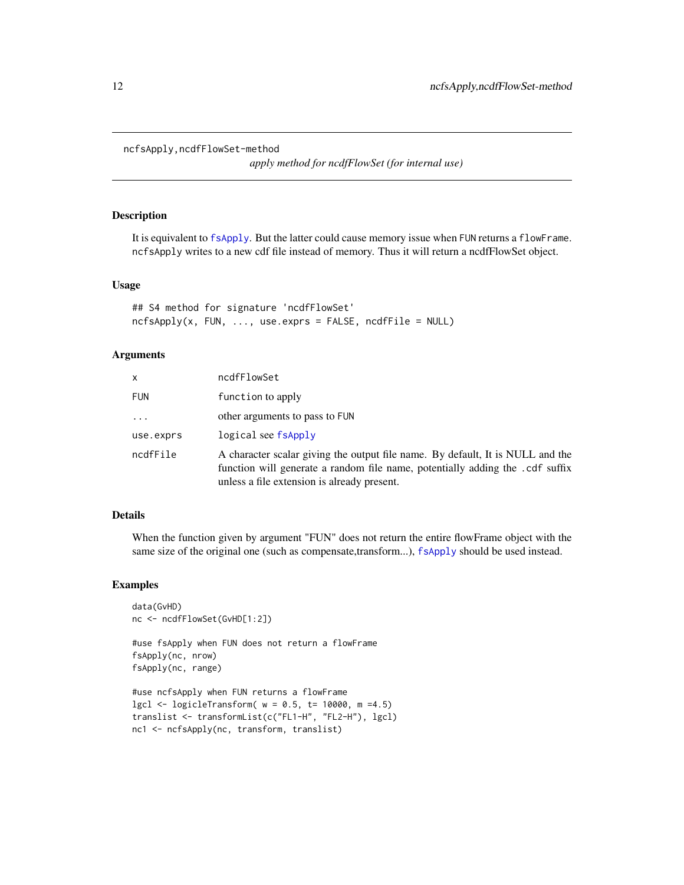```
ncfsApply,ncdfFlowSet-method
```
*apply method for ncdfFlowSet (for internal use)*

# Description

It is equivalent to [fsApply](#page-0-0). But the latter could cause memory issue when FUN returns a flowFrame. ncfsApply writes to a new cdf file instead of memory. Thus it will return a ncdfFlowSet object.

#### Usage

```
## S4 method for signature 'ncdfFlowSet'
ncfsApply(x, FU, ..., use. express = FALSE, ncdfFile = NULL)
```
#### Arguments

| x          | ncdfFlowSet                                                                                                                                                                                                    |
|------------|----------------------------------------------------------------------------------------------------------------------------------------------------------------------------------------------------------------|
| <b>FUN</b> | function to apply                                                                                                                                                                                              |
| $\ddots$   | other arguments to pass to FUN                                                                                                                                                                                 |
| use.exprs  | logical see fsApply                                                                                                                                                                                            |
| ncdfFile   | A character scalar giving the output file name. By default, It is NULL and the<br>function will generate a random file name, potentially adding the .cdf suffix<br>unless a file extension is already present. |

# Details

When the function given by argument "FUN" does not return the entire flowFrame object with the same size of the original one (such as compensate,transform...), [fsApply](#page-0-0) should be used instead.

# Examples

```
data(GvHD)
nc <- ncdfFlowSet(GvHD[1:2])
```
#use fsApply when FUN does not return a flowFrame fsApply(nc, nrow) fsApply(nc, range)

```
#use ncfsApply when FUN returns a flowFrame
lgcl < -logicleTransform(w = 0.5, t = 10000, m = 4.5)translist <- transformList(c("FL1-H", "FL2-H"), lgcl)
nc1 <- ncfsApply(nc, transform, translist)
```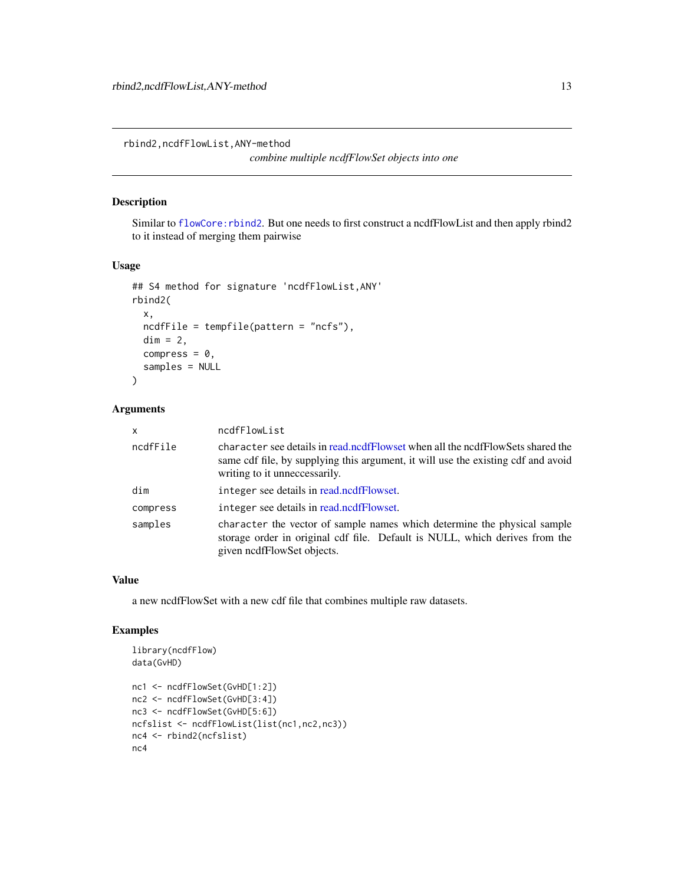<span id="page-12-0"></span>rbind2,ncdfFlowList,ANY-method

*combine multiple ncdfFlowSet objects into one*

# Description

Similar to [flowCore:rbind2](#page-0-0). But one needs to first construct a ncdfFlowList and then apply rbind2 to it instead of merging them pairwise

# Usage

```
## S4 method for signature 'ncdfFlowList,ANY'
rbind2(
 x,
 ncdfFile = tempfile(pattern = "ncfs"),
 dim = 2,
 compress = 0,
 samples = NULL
\lambda
```
#### Arguments

| x        | ncdfFlowList                                                                                                                                                                                         |
|----------|------------------------------------------------------------------------------------------------------------------------------------------------------------------------------------------------------|
| ncdfFile | character see details in read.ncdfFlowset when all the ncdfFlowSets shared the<br>same cdf file, by supplying this argument, it will use the existing cdf and avoid<br>writing to it unneccessarily. |
| dim      | integer see details in read.ncdfFlowset.                                                                                                                                                             |
| compress | integer see details in read.ncdfFlowset.                                                                                                                                                             |
| samples  | character the vector of sample names which determine the physical sample<br>storage order in original cdf file. Default is NULL, which derives from the<br>given nedfFlowSet objects.                |

#### Value

a new ncdfFlowSet with a new cdf file that combines multiple raw datasets.

```
library(ncdfFlow)
data(GvHD)
nc1 <- ncdfFlowSet(GvHD[1:2])
nc2 <- ncdfFlowSet(GvHD[3:4])
nc3 <- ncdfFlowSet(GvHD[5:6])
ncfslist <- ncdfFlowList(list(nc1,nc2,nc3))
nc4 <- rbind2(ncfslist)
nc4
```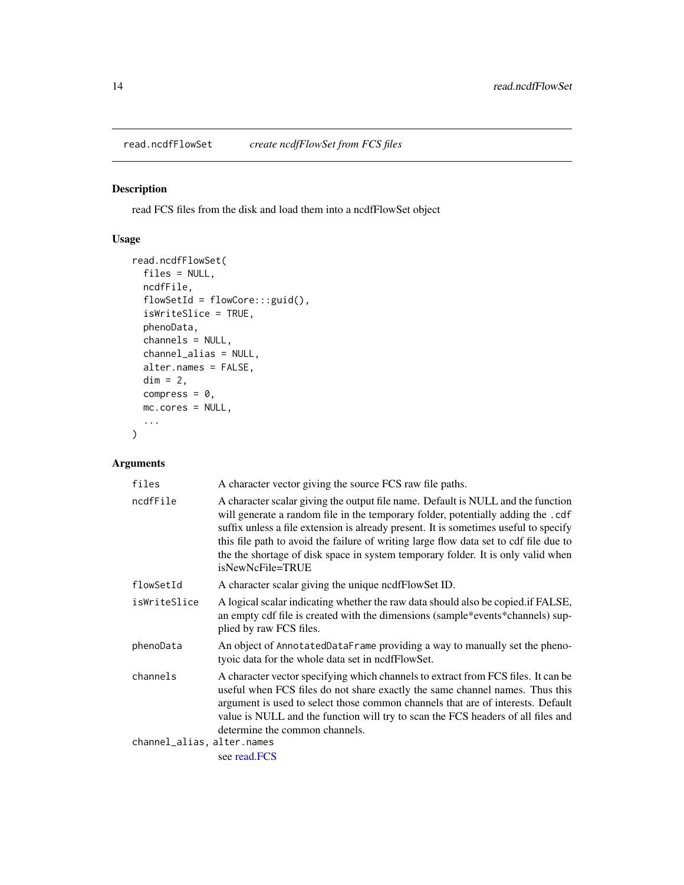<span id="page-13-2"></span><span id="page-13-0"></span>read.ncdfFlowSet *create ncdfFlowSet from FCS files*

# <span id="page-13-1"></span>Description

read FCS files from the disk and load them into a ncdfFlowSet object

# Usage

```
read.ncdfFlowSet(
  files = NULL,
 ncdfFile,
  flowSetId = flowCore:::guid(),
  isWriteSlice = TRUE,
 phenoData,
 channels = NULL,
  channel_alias = NULL,
  alter.names = FALSE,
 dim = 2,
 compress = 0,
 mc.cores = NULL,
  ...
)
```
# Arguments

| files                      | A character vector giving the source FCS raw file paths.                                                                                                                                                                                                                                                                                                                                                                                                      |
|----------------------------|---------------------------------------------------------------------------------------------------------------------------------------------------------------------------------------------------------------------------------------------------------------------------------------------------------------------------------------------------------------------------------------------------------------------------------------------------------------|
| ncdfFile                   | A character scalar giving the output file name. Default is NULL and the function<br>will generate a random file in the temporary folder, potentially adding the .cdf<br>suffix unless a file extension is already present. It is sometimes useful to specify<br>this file path to avoid the failure of writing large flow data set to cdf file due to<br>the the shortage of disk space in system temporary folder. It is only valid when<br>isNewNcFile=TRUE |
| flowSetId                  | A character scalar giving the unique nedfFlowSet ID.                                                                                                                                                                                                                                                                                                                                                                                                          |
| isWriteSlice               | A logical scalar indicating whether the raw data should also be copied if FALSE,<br>an empty cdf file is created with the dimensions (sample*events*channels) sup-<br>plied by raw FCS files.                                                                                                                                                                                                                                                                 |
| phenoData                  | An object of AnnotatedDataFrame providing a way to manually set the pheno-<br>tyoic data for the whole data set in ncdfFlowSet.                                                                                                                                                                                                                                                                                                                               |
| channels                   | A character vector specifying which channels to extract from FCS files. It can be<br>useful when FCS files do not share exactly the same channel names. Thus this<br>argument is used to select those common channels that are of interests. Default<br>value is NULL and the function will try to scan the FCS headers of all files and<br>determine the common channels.                                                                                    |
| channel_alias, alter.names |                                                                                                                                                                                                                                                                                                                                                                                                                                                               |
|                            | see read.FCS                                                                                                                                                                                                                                                                                                                                                                                                                                                  |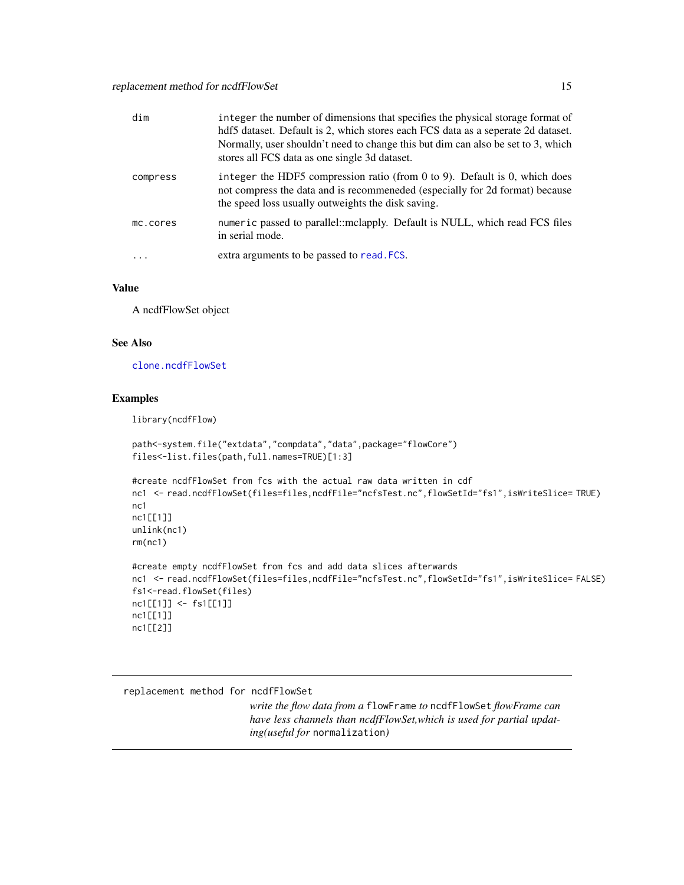<span id="page-14-0"></span>

| dim                     | integer the number of dimensions that specifies the physical storage format of<br>hdf5 dataset. Default is 2, which stores each FCS data as a seperate 2d dataset.<br>Normally, user shouldn't need to change this but dim can also be set to 3, which<br>stores all FCS data as one single 3d dataset. |
|-------------------------|---------------------------------------------------------------------------------------------------------------------------------------------------------------------------------------------------------------------------------------------------------------------------------------------------------|
| compress                | integer the HDF5 compression ratio (from 0 to 9). Default is 0, which does<br>not compress the data and is recommended (especially for 2d format) because<br>the speed loss usually outweights the disk saving.                                                                                         |
| mc.cores                | numeric passed to parallel::mclapply. Default is NULL, which read FCS files<br>in serial mode.                                                                                                                                                                                                          |
| $\cdot$ $\cdot$ $\cdot$ | extra arguments to be passed to read. FCS.                                                                                                                                                                                                                                                              |

#### Value

A ncdfFlowSet object

# See Also

[clone.ncdfFlowSet](#page-2-1)

#### Examples

library(ncdfFlow)

```
path<-system.file("extdata","compdata","data",package="flowCore")
files<-list.files(path,full.names=TRUE)[1:3]
#create ncdfFlowSet from fcs with the actual raw data written in cdf
```

```
nc1 <- read.ncdfFlowSet(files=files,ncdfFile="ncfsTest.nc",flowSetId="fs1",isWriteSlice= TRUE)
nc1
nc1[[1]]
unlink(nc1)
rm(nc1)
```

```
#create empty ncdfFlowSet from fcs and add data slices afterwards
nc1 <- read.ncdfFlowSet(files=files,ncdfFile="ncfsTest.nc",flowSetId="fs1",isWriteSlice= FALSE)
fs1<-read.flowSet(files)
nc1[[1]] <- fs1[[1]]
nc1[[1]]
nc1[[2]]
```
replacement method for ncdfFlowSet

*write the flow data from a* flowFrame *to* ncdfFlowSet *flowFrame can have less channels than ncdfFlowSet,which is used for partial updating(useful for* normalization*)*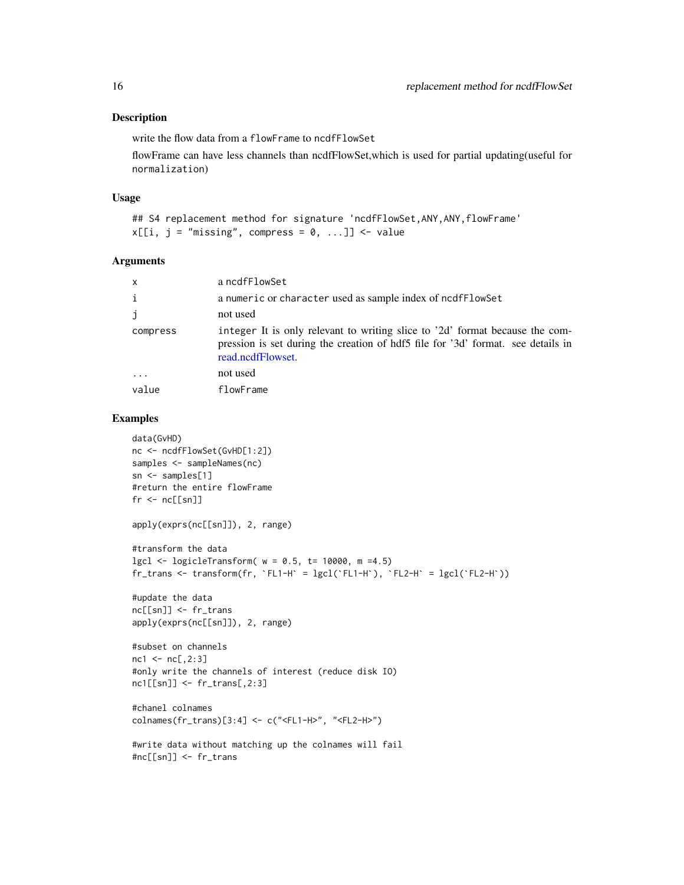#### <span id="page-15-0"></span>Description

write the flow data from a flowFrame to ncdfFlowSet

flowFrame can have less channels than ncdfFlowSet,which is used for partial updating(useful for normalization)

#### Usage

```
## S4 replacement method for signature 'ncdfFlowSet, ANY, ANY, flowFrame'
x[[i, j = "missing", compress = 0, ...]] <- value
```
#### Arguments

| x        | a ncdfFlowSet                                                                                                                                                                         |
|----------|---------------------------------------------------------------------------------------------------------------------------------------------------------------------------------------|
| i        | a numeric or character used as sample index of ncdfFlowSet                                                                                                                            |
| j        | not used                                                                                                                                                                              |
| compress | integer It is only relevant to writing slice to '2d' format because the com-<br>pression is set during the creation of hdf5 file for '3d' format. see details in<br>read.ncdfFlowset. |
| $\cdots$ | not used                                                                                                                                                                              |
| value    | flowFrame                                                                                                                                                                             |

```
data(GvHD)
nc <- ncdfFlowSet(GvHD[1:2])
samples <- sampleNames(nc)
sn <- samples[1]
#return the entire flowFrame
fr < - ncl[sn]apply(exprs(nc[[sn]]), 2, range)
#transform the data
lgcl \leftarrow logicleTransform(w = 0.5, t = 10000, m = 4.5)fr_{trans} <- transform(fr, `FL1-H` = lgcl(`FL1-H`), `FL2-H` = lgcl(`FL2-H`))
#update the data
nc[[sn]] <- fr_trans
apply(exprs(nc[[sn]]), 2, range)
#subset on channels
nc1 < -nc[, 2:3]#only write the channels of interest (reduce disk IO)
nc1[[sn]] <- fr_trans[,2:3]
#chanel colnames
colnames(fr_trans)[3:4] <- c("<FL1-H>", "<FL2-H>")
#write data without matching up the colnames will fail
#nc[[sn]] <- fr_trans
```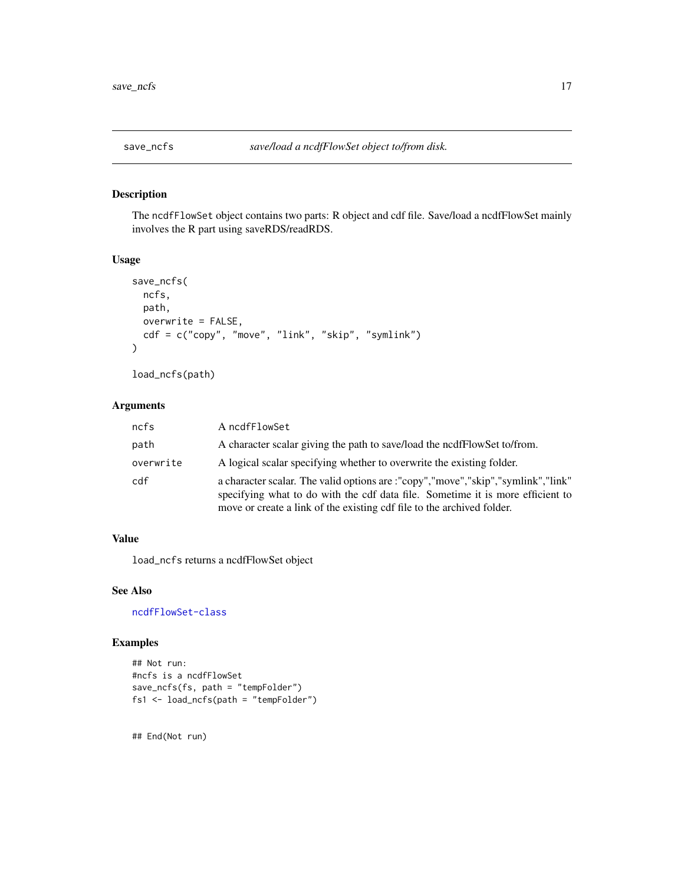<span id="page-16-0"></span>

#### Description

The ncdfFlowSet object contains two parts: R object and cdf file. Save/load a ncdfFlowSet mainly involves the R part using saveRDS/readRDS.

# Usage

```
save_ncfs(
  ncfs,
  path,
  overwrite = FALSE,
  cdf = c("copy", "move", "link", "skip", "symlink")
\mathcal{L}
```
load\_ncfs(path)

# Arguments

| ncfs      | A ncdfFlowSet                                                                                                                                                                                                                                |
|-----------|----------------------------------------------------------------------------------------------------------------------------------------------------------------------------------------------------------------------------------------------|
| path      | A character scalar giving the path to save/load the nedf FlowSet to/from.                                                                                                                                                                    |
| overwrite | A logical scalar specifying whether to overwrite the existing folder.                                                                                                                                                                        |
| cdf       | a character scalar. The valid options are :"copy","move","skip","symlink","link"<br>specifying what to do with the cdf data file. Sometime it is more efficient to<br>move or create a link of the existing cdf file to the archived folder. |

# Value

load\_ncfs returns a ncdfFlowSet object

# See Also

[ncdfFlowSet-class](#page-10-1)

# Examples

```
## Not run:
#ncfs is a ncdfFlowSet
save_ncfs(fs, path = "tempFolder")
fs1 <- load_ncfs(path = "tempFolder")
```
## End(Not run)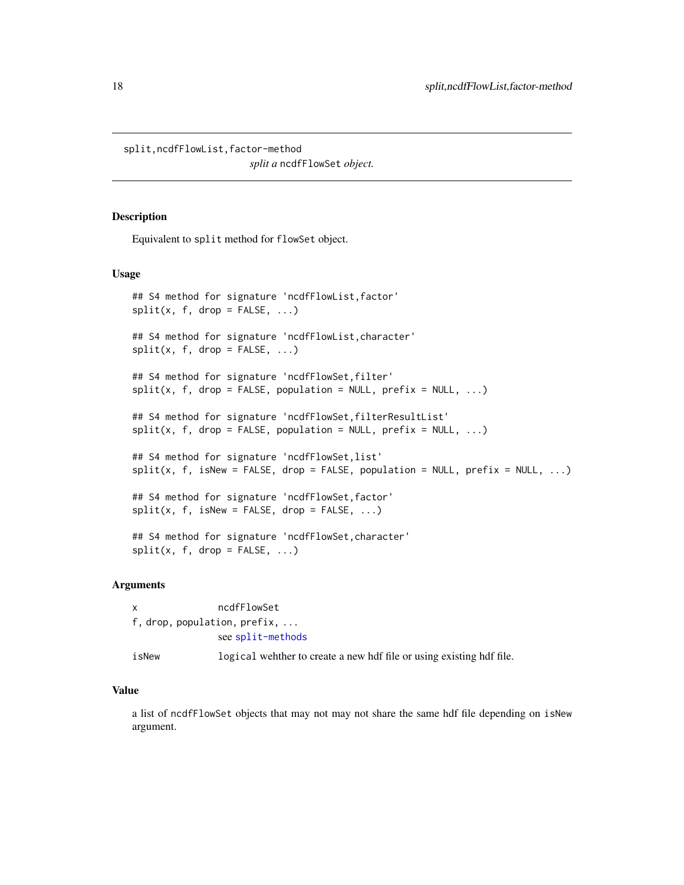<span id="page-17-0"></span>split,ncdfFlowList,factor-method

*split a* ncdfFlowSet *object.*

#### Description

Equivalent to split method for flowSet object.

#### Usage

```
## S4 method for signature 'ncdfFlowList, factor'
split(x, f, drop = FALSE, ...)## S4 method for signature 'ncdfFlowList,character'
split(x, f, drop = FALSE, ...)## S4 method for signature 'ncdfFlowSet,filter'
split(x, f, drop = FALSE, population = NULL, prefix = NULL, ...)## S4 method for signature 'ncdfFlowSet,filterResultList'
split(x, f, drop = FALSE, population = NULL, prefix = NULL, ...)## S4 method for signature 'ncdfFlowSet,list'
split(x, f, isNew = FALSE, drop = FALSE, population = NULL, prefix = NULL, ...)## S4 method for signature 'ncdfFlowSet, factor'
split(x, f, isNew = FALSE, drop = FALSE, ...)## S4 method for signature 'ncdfFlowSet,character'
split(x, f, drop = FALSE, ...)
```
# Arguments

x ncdfFlowSet f, drop, population, prefix, ... see [split-methods](#page-0-0) isNew logical wehther to create a new hdf file or using existing hdf file.

# Value

a list of ncdfFlowSet objects that may not may not share the same hdf file depending on isNew argument.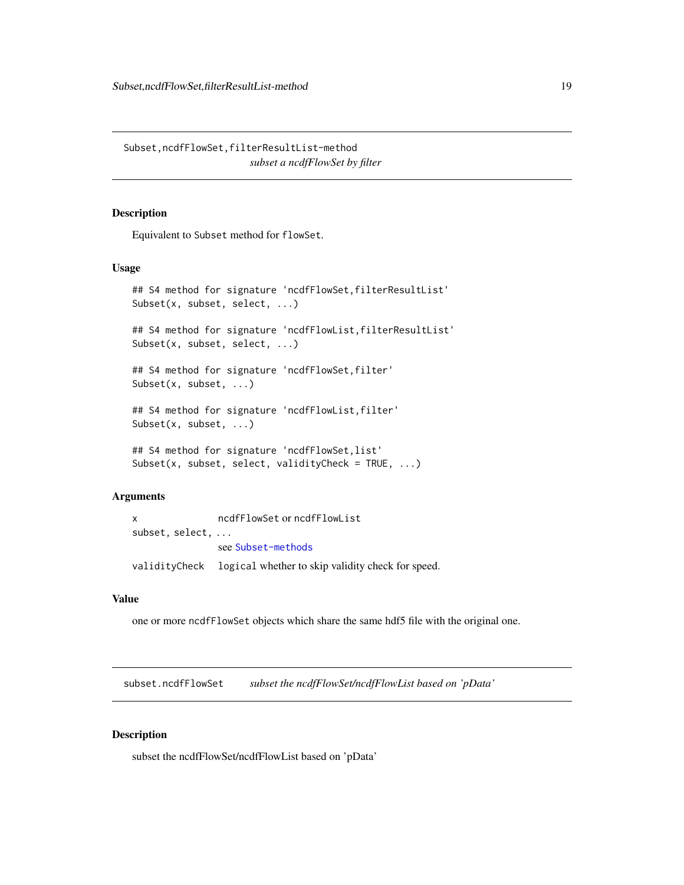<span id="page-18-0"></span>Subset,ncdfFlowSet,filterResultList-method *subset a ncdfFlowSet by filter*

#### Description

Equivalent to Subset method for flowSet.

#### Usage

```
## S4 method for signature 'ncdfFlowSet, filterResultList'
Subset(x, subset, select, ...)
## S4 method for signature 'ncdfFlowList, filterResultList'
Subset(x, subset, select, ...)
## S4 method for signature 'ncdfFlowSet, filter'
Subset(x, subset, ...)
## S4 method for signature 'ncdfFlowList, filter'
Subset(x, subset, ...)
## S4 method for signature 'ncdfFlowSet,list'
Subset(x, subset, select, validityCheck = TRUE, ...)
```
# Arguments

```
x ncdfFlowSet or ncdfFlowList
subset, select, ...
               see Subset-methods
validityCheck logical whether to skip validity check for speed.
```
#### Value

one or more ncdfFlowSet objects which share the same hdf5 file with the original one.

subset.ncdfFlowSet *subset the ncdfFlowSet/ncdfFlowList based on 'pData'*

# Description

subset the ncdfFlowSet/ncdfFlowList based on 'pData'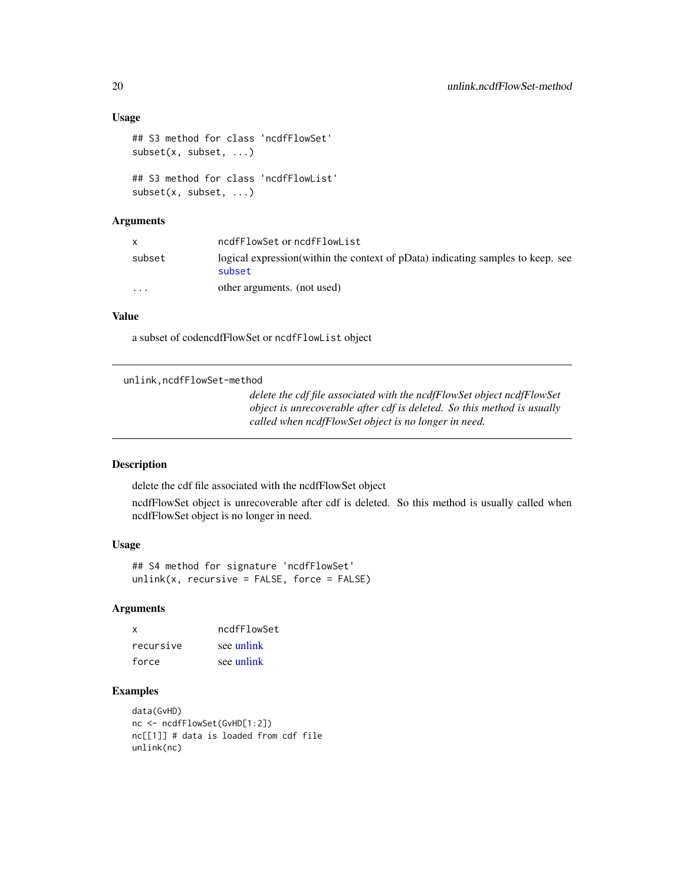#### Usage

```
## S3 method for class 'ncdfFlowSet'
subset(x, subset, ...)
## S3 method for class 'ncdfFlowList'
subset(x, subset, ...)
```
# Arguments

|          | ncdfFlowSet or ncdfFlowList                                                                |
|----------|--------------------------------------------------------------------------------------------|
| subset   | logical expression (within the context of pData) indicating samples to keep. see<br>subset |
| $\cdots$ | other arguments. (not used)                                                                |

# Value

a subset of codencdfFlowSet or ncdfFlowList object

unlink,ncdfFlowSet-method

*delete the cdf file associated with the ncdfFlowSet object ncdfFlowSet object is unrecoverable after cdf is deleted. So this method is usually called when ncdfFlowSet object is no longer in need.*

#### Description

delete the cdf file associated with the ncdfFlowSet object

ncdfFlowSet object is unrecoverable after cdf is deleted. So this method is usually called when ncdfFlowSet object is no longer in need.

#### Usage

## S4 method for signature 'ncdfFlowSet'  $unlink(x, recursive = FALSE, force = FALSE)$ 

# Arguments

| x         | ncdfFlowSet |
|-----------|-------------|
| recursive | see unlink  |
| force     | see unlink  |

```
data(GvHD)
nc <- ncdfFlowSet(GvHD[1:2])
nc[[1]] # data is loaded from cdf file
unlink(nc)
```
<span id="page-19-0"></span>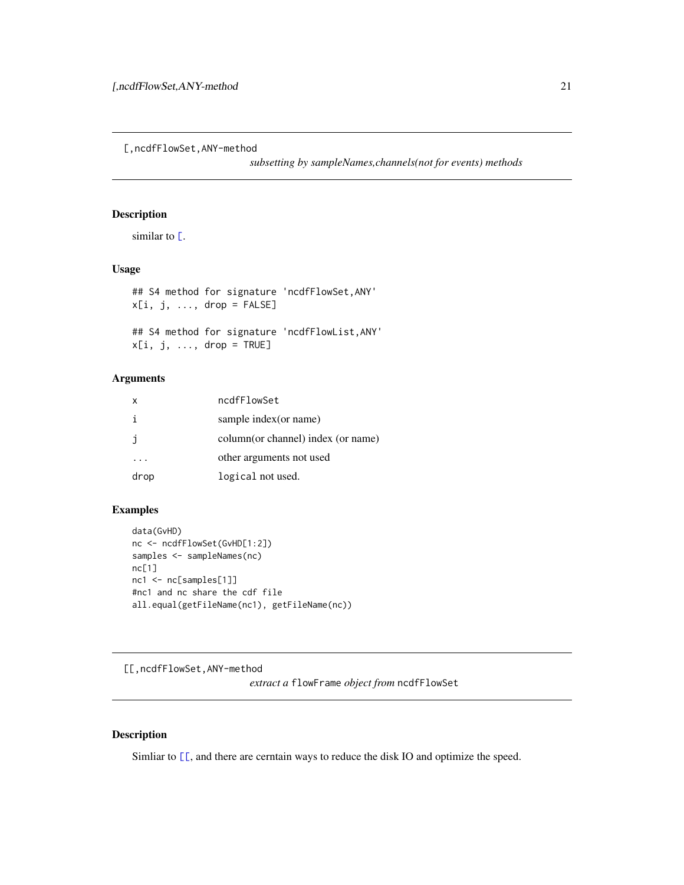<span id="page-20-0"></span>[,ncdfFlowSet,ANY-method

*subsetting by sampleNames,channels(not for events) methods*

# Description

similar to  $\Gamma$ .

# Usage

```
## S4 method for signature 'ncdfFlowSet,ANY'
x[i, j, ..., drop = FALSE]## S4 method for signature 'ncdfFlowList,ANY'
x[i, j, \ldots, drop = TRUE]
```
# Arguments

| x    | ncdfFlowSet                        |
|------|------------------------------------|
| i    | sample index (or name)             |
| İ    | column(or channel) index (or name) |
|      | other arguments not used           |
| drop | logical not used.                  |
|      |                                    |

# Examples

```
data(GvHD)
nc <- ncdfFlowSet(GvHD[1:2])
samples <- sampleNames(nc)
nc[1]
nc1 <- nc[samples[1]]
#nc1 and nc share the cdf file
all.equal(getFileName(nc1), getFileName(nc))
```
[[,ncdfFlowSet,ANY-method

*extract a* flowFrame *object from* ncdfFlowSet

# Description

Simliar to  $[\Gamma]$ , and there are cerntain ways to reduce the disk IO and optimize the speed.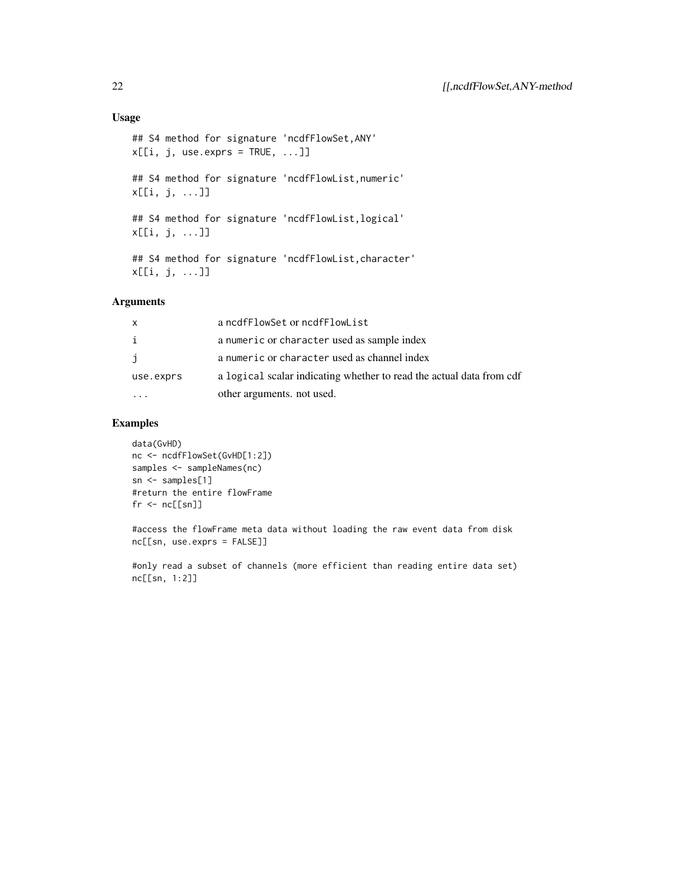# Usage

```
## S4 method for signature 'ncdfFlowSet,ANY'
x[[i, j, use. express = TRUE, ...]]## S4 method for signature 'ncdfFlowList,numeric'
x[[i, j, ...]]
## S4 method for signature 'ncdfFlowList,logical'
x[[i, j, ...]]
## S4 method for signature 'ncdfFlowList,character'
x[[i, j, ...]]
```
# Arguments

| $\mathsf{x}$ | a ncdfFlowSet or ncdfFlowList                                        |
|--------------|----------------------------------------------------------------------|
| i            | a numeric or character used as sample index                          |
| j            | a numeric or character used as channel index                         |
| use.exprs    | a logical scalar indicating whether to read the actual data from cdf |
|              | other arguments, not used.                                           |

# Examples

```
data(GvHD)
nc <- ncdfFlowSet(GvHD[1:2])
samples <- sampleNames(nc)
sn <- samples[1]
#return the entire flowFrame
fr < - nc[[sn]]
```
#access the flowFrame meta data without loading the raw event data from disk nc[[sn, use.exprs = FALSE]]

#only read a subset of channels (more efficient than reading entire data set) nc[[sn, 1:2]]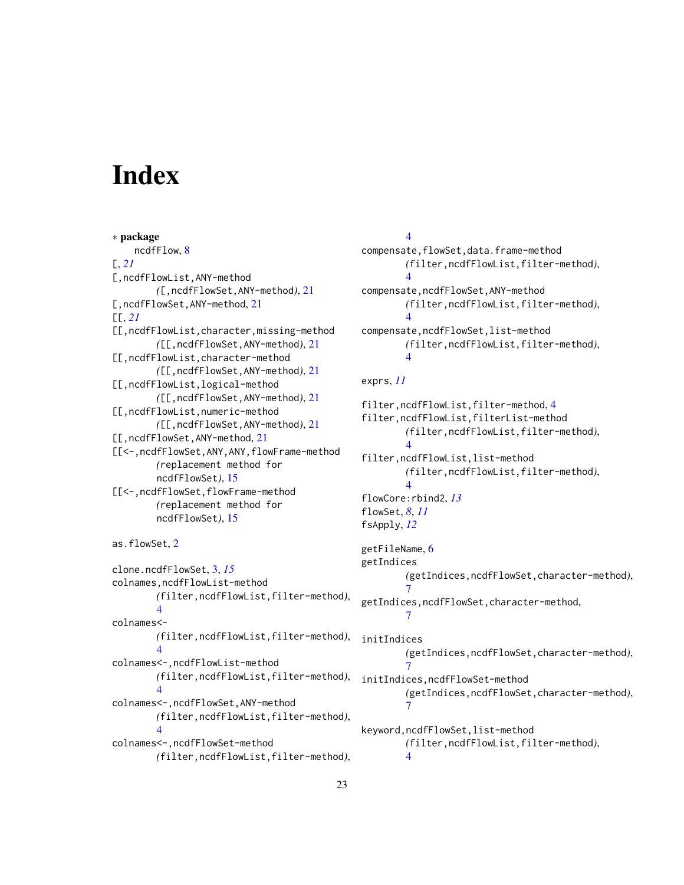# <span id="page-22-0"></span>**Index**

∗ package ncdfFlow, [8](#page-7-0) [, *[21](#page-20-0)* [,ncdfFlowList,ANY-method *(*[,ncdfFlowSet,ANY-method*)*, [21](#page-20-0) [, ncdfFlowSet, ANY-method, [21](#page-20-0)  $[L, 21]$  $[L, 21]$  $[L, 21]$ [[,ncdfFlowList,character,missing-method *(*[[,ncdfFlowSet,ANY-method*)*, [21](#page-20-0) [[,ncdfFlowList,character-method *(*[[,ncdfFlowSet,ANY-method*)*, [21](#page-20-0) [[,ncdfFlowList,logical-method *(*[[,ncdfFlowSet,ANY-method*)*, [21](#page-20-0) [[,ncdfFlowList,numeric-method *(*[[,ncdfFlowSet,ANY-method*)*, [21](#page-20-0) [[,ncdfFlowSet,ANY-method, [21](#page-20-0) [[<-,ncdfFlowSet,ANY,ANY,flowFrame-method *(*replacement method for ncdfFlowSet*)*, [15](#page-14-0) [[<-,ncdfFlowSet,flowFrame-method *(*replacement method for ncdfFlowSet*)*, [15](#page-14-0)

```
as.flowSet, 2
```
clone.ncdfFlowSet, [3,](#page-2-0) *[15](#page-14-0)* colnames,ncdfFlowList-method *(*filter,ncdfFlowList,filter-method*)*, [4](#page-3-0) colnames<- *(*filter,ncdfFlowList,filter-method*)*, [4](#page-3-0) colnames<-,ncdfFlowList-method *(*filter,ncdfFlowList,filter-method*)*, [4](#page-3-0) colnames<-,ncdfFlowSet,ANY-method *(*filter,ncdfFlowList,filter-method*)*, [4](#page-3-0) colnames<-,ncdfFlowSet-method *(*filter,ncdfFlowList,filter-method*)*,

# [4](#page-3-0) compensate,flowSet,data.frame-method *(*filter,ncdfFlowList,filter-method*)*, [4](#page-3-0) compensate,ncdfFlowSet,ANY-method *(*filter,ncdfFlowList,filter-method*)*, [4](#page-3-0) compensate, ncdfFlowSet, list-method *(*filter,ncdfFlowList,filter-method*)*, [4](#page-3-0) exprs, *[11](#page-10-0)* filter,ncdfFlowList,filter-method, [4](#page-3-0) filter,ncdfFlowList,filterList-method *(*filter,ncdfFlowList,filter-method*)*, [4](#page-3-0) filter,ncdfFlowList,list-method *(*filter,ncdfFlowList,filter-method*)*, [4](#page-3-0) flowCore:rbind2, *[13](#page-12-0)* flowSet, *[8](#page-7-0)*, *[11](#page-10-0)* fsApply, *[12](#page-11-0)* getFileName, [6](#page-5-0) getIndices *(*getIndices,ncdfFlowSet,character-method*)*, [7](#page-6-0) getIndices,ncdfFlowSet,character-method, [7](#page-6-0) initIndices *(*getIndices,ncdfFlowSet,character-method*)*, [7](#page-6-0) initIndices,ncdfFlowSet-method *(*getIndices,ncdfFlowSet,character-method*)*, [7](#page-6-0) keyword,ncdfFlowSet,list-method

*(*filter,ncdfFlowList,filter-method*)*,

[4](#page-3-0)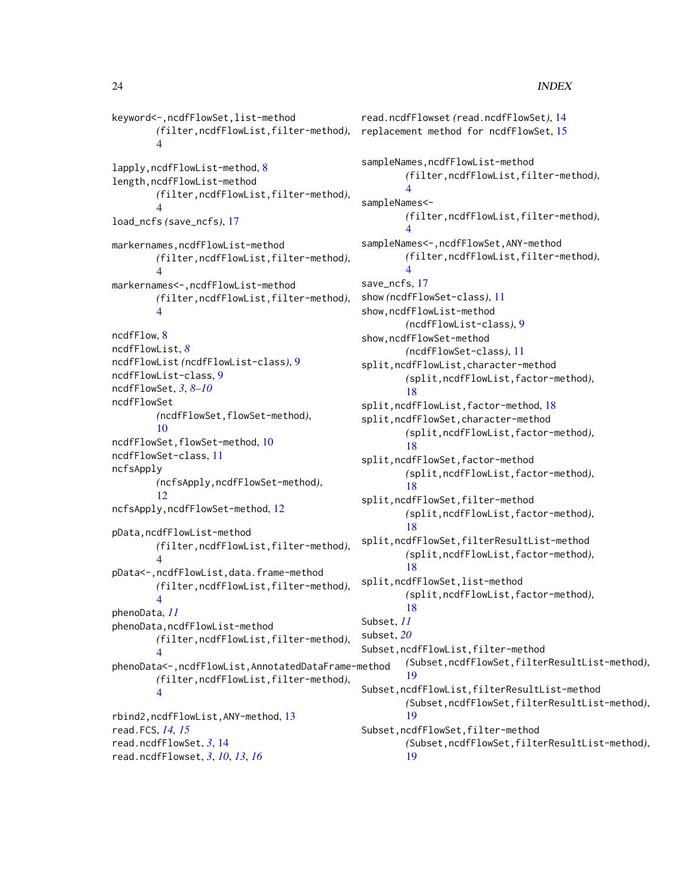# 24 INDEX

```
keyword<-,ncdfFlowSet,list-method
        (filter,ncdfFlowList,filter-method),
        4
lapply,ncdfFlowList-method, 8
length,ncdfFlowList-method
        (filter,ncdfFlowList,filter-method),
        4
load_ncfs (save_ncfs), 17
markernames,ncdfFlowList-method
        (filter,ncdfFlowList,filter-method),
        4
markernames<-,ncdfFlowList-method
        (filter,ncdfFlowList,filter-method),
        4
ncdfFlow, 8
ncdfFlowList, 8
ncdfFlowList (ncdfFlowList-class), 9
ncdfFlowList-class, 9
ncdfFlowSet, 3, 8–10
ncdfFlowSet
        (ncdfFlowSet,flowSet-method),
        10
ncdfFlowSet,flowSet-method, 10
ncdfFlowSet-class, 11
ncfsApply
        (ncfsApply,ncdfFlowSet-method),
        12
ncfsApply,ncdfFlowSet-method, 12
pData,ncdfFlowList-method
        (filter,ncdfFlowList,filter-method),
        4
pData<-,ncdfFlowList,data.frame-method
        (filter,ncdfFlowList,filter-method),
        \DeltaphenoData, 11
phenoData,ncdfFlowList-method
        (filter,ncdfFlowList,filter-method),
        4
phenoData<-,ncdfFlowList,AnnotatedDataFrame-method
        (filter,ncdfFlowList,filter-method),
        4
rbind2,ncdfFlowList,ANY-method, 13
read.FCS, 14, 15
read.ncdfFlowSet, 3, 14
read.ncdfFlowset, 3, 10, 13, 16
```
read.ncdfFlowset *(*read.ncdfFlowSet*)*, [14](#page-13-0) replacement method for ncdfFlowSet, [15](#page-14-0) sampleNames,ncdfFlowList-method *(*filter,ncdfFlowList,filter-method*)*, [4](#page-3-0) sampleNames<- *(*filter,ncdfFlowList,filter-method*)*, [4](#page-3-0) sampleNames<-,ncdfFlowSet,ANY-method *(*filter,ncdfFlowList,filter-method*)*, [4](#page-3-0) save\_ncfs, [17](#page-16-0) show *(*ncdfFlowSet-class*)*, [11](#page-10-0) show,ncdfFlowList-method *(*ncdfFlowList-class*)*, [9](#page-8-0) show,ncdfFlowSet-method *(*ncdfFlowSet-class*)*, [11](#page-10-0) split,ncdfFlowList,character-method *(*split,ncdfFlowList,factor-method*)*, [18](#page-17-0) split,ncdfFlowList,factor-method, [18](#page-17-0) split,ncdfFlowSet,character-method *(*split,ncdfFlowList,factor-method*)*, [18](#page-17-0) split,ncdfFlowSet,factor-method *(*split,ncdfFlowList,factor-method*)*, [18](#page-17-0) split,ncdfFlowSet,filter-method *(*split,ncdfFlowList,factor-method*)*, [18](#page-17-0) split,ncdfFlowSet,filterResultList-method *(*split,ncdfFlowList,factor-method*)*, [18](#page-17-0) split,ncdfFlowSet,list-method *(*split,ncdfFlowList,factor-method*)*, [18](#page-17-0) Subset, *[11](#page-10-0)* subset, *[20](#page-19-0)* Subset,ncdfFlowList,filter-method *(*Subset,ncdfFlowSet,filterResultList-method*)*, [19](#page-18-0) Subset,ncdfFlowList,filterResultList-method *(*Subset,ncdfFlowSet,filterResultList-method*)*, [19](#page-18-0) Subset,ncdfFlowSet,filter-method *(*Subset,ncdfFlowSet,filterResultList-method*)*, [19](#page-18-0)